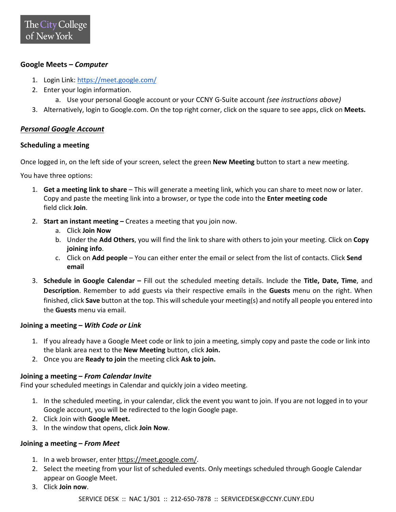# **Google Meets –** *Computer*

- 1. Login Link:<https://meet.google.com/>
- 2. Enter your login information.
	- a. Use your personal Google account or your CCNY G-Suite account *(see instructions above)*
- 3. Alternatively, login to Google.com. On the top right corner, click on the square to see apps, click on **Meets.**

## *Personal Google Account*

### **Scheduling a meeting**

Once logged in, on the left side of your screen, select the green **New Meeting** button to start a new meeting.

You have three options:

- 1. **Get a meeting link to share** This will generate a meeting link, which you can share to meet now or later. Copy and paste the meeting link into a browser, or type the code into the **Enter meeting code**  field click **Join**.
- 2. **Start an instant meeting –** Creates a meeting that you join now.
	- a. Click **Join Now**
	- b. Under the **Add Others**, you will find the link to share with others to join your meeting. Click on **Copy joining info**.
	- c. Click on **Add people** You can either enter the email or select from the list of contacts. Click **Send email**
- 3. **Schedule in Google Calendar –** Fill out the scheduled meeting details. Include the **Title, Date, Time**, and **Description**. Remember to add guests via their respective emails in the **Guests** menu on the right. When finished, click **Save** button at the top. This will schedule your meeting(s) and notify all people you entered into the **Guests** menu via email.

### **Joining a meeting –** *With Code or Link*

- 1. If you already have a Google Meet code or link to join a meeting, simply copy and paste the code or link into the blank area next to the **New Meeting** button, click **Join.**
- 2. Once you are **Ready to join** the meeting click **Ask to join.**

### **Joining a meeting –** *From Calendar Invite*

Find your scheduled meetings in Calendar and quickly join a video meeting.

- 1. In the scheduled meeting, in your calendar, click the event you want to join. If you are not logged in to your Google account, you will be redirected to the login Google page.
- 2. Click Join with **Google Meet.**
- 3. In the window that opens, click **Join Now**.

### **Joining a meeting –** *From Meet*

- 1. In a web browser, enter [https://meet.google.com/.](https://meet.google.com/)
- 2. Select the meeting from your list of scheduled events. Only meetings scheduled through Google Calendar appear on Google Meet.
- 3. Click **Join now**.